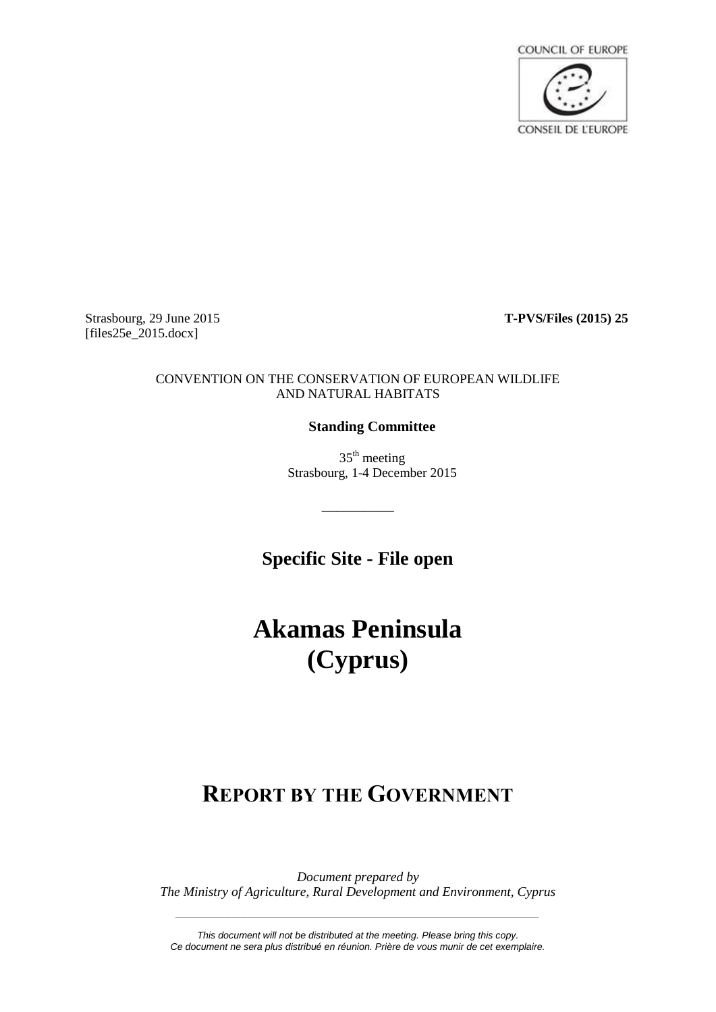

Strasbourg, 29 June 2015 **T-PVS/Files (2015) 25** [files25e\_2015.docx]

#### CONVENTION ON THE CONSERVATION OF EUROPEAN WILDLIFE AND NATURAL HABITATS

### **Standing Committee**

 $35<sup>th</sup>$  meeting Strasbourg, 1-4 December 2015

**Specific Site - File open**

\_\_\_\_\_\_\_\_\_\_

# **Akamas Peninsula (Cyprus)**

## **REPORT BY THE GOVERNMENT**

*Document prepared by The Ministry of Agriculture, Rural Development and Environment, Cyprus*

*\_\_\_\_\_\_\_\_\_\_\_\_\_\_\_\_\_\_\_\_\_\_\_\_\_\_\_\_\_\_\_\_\_\_\_\_\_\_\_\_\_\_\_\_\_\_\_\_\_\_\_\_\_\_\_\_\_\_\_\_\_\_\_\_\_\_\_\_*

*This document will not be distributed at the meeting. Please bring this copy. Ce document ne sera plus distribué en réunion. Prière de vous munir de cet exemplaire.*